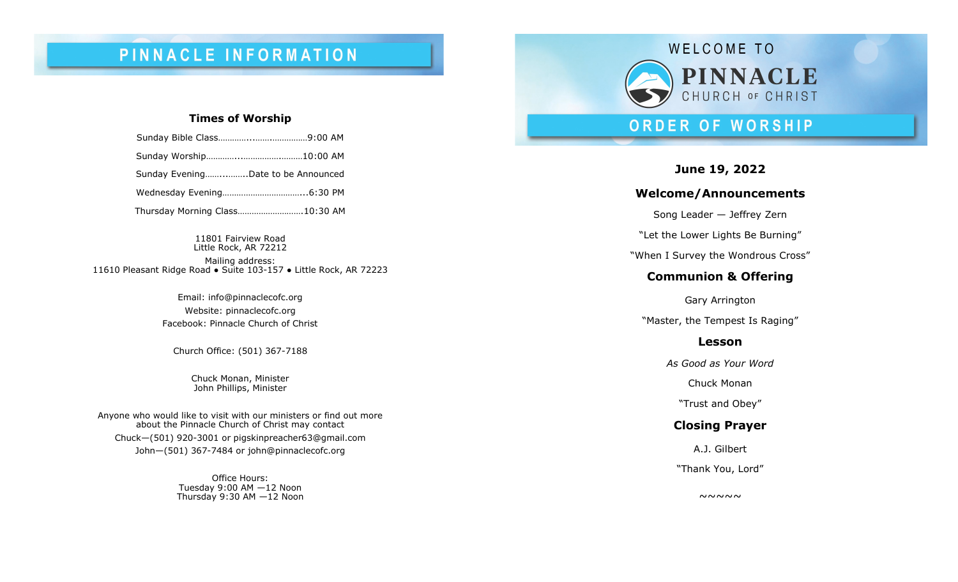# PINNACLE INFORMATION

### **Times of Worship**

| Sunday EveningDate to be Announced |  |
|------------------------------------|--|
|                                    |  |
| Thursday Morning Class10:30 AM     |  |

11801 Fairview Road Little Rock, AR 72212 Mailing address: 11610 Pleasant Ridge Road ● Suite 103 -157 ● Little Rock, AR 72223

> Email: info@pinnaclecofc.org Website: pinnaclecofc.org Facebook: Pinnacle Church of Christ

Church Office: (501) 367 -7188

Chuck Monan, Minister John Phillips, Minister

Anyone who would like to visit with our ministers or find out more about the Pinnacle Church of Christ may contact Chuck —(501) 920 -3001 or [pigskinpreacher63@gmail.com](mailto:pigskinpreacher63@gmail.com) John —(501) 367 -7484 or john@pinnaclecofc.org

> Office Hours: Tuesday 9:00 AM —12 Noon Thursday 9:30 AM —12 Noon



## ORDER OF WORSHIP

**June 19, 2022**

## **Welcome/Announcements**

Song Leader — Jeffrey Zern

"Let the Lower Lights Be Burning"

"When I Survey the Wondrous Cross "

## **Communion & Offering**

Gary Arrington "Master, the Tempest Is Raging "

## **Lesson**

*As Good as Your Word*

Chuck Monan

"Trust and Obey "

## **Closing Prayer**

A.J. Gilbert

"Thank You, Lord "

 $~\sim~\sim~\sim~\sim$